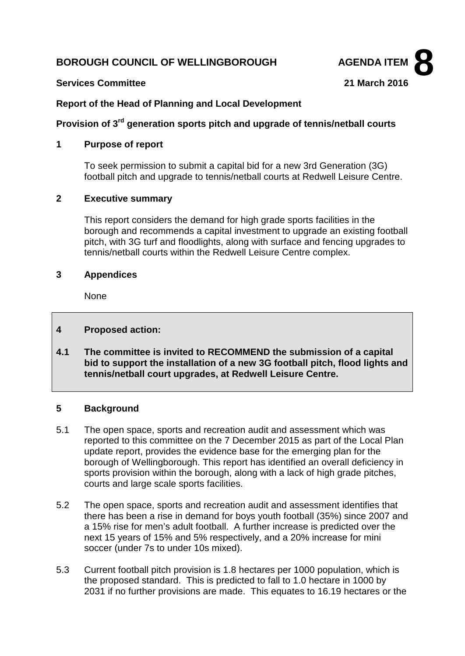# **BOROUGH COUNCIL OF WELLINGBOROUGH AGENDA ITEM**



#### **Services Committee 21 March 2016**

# **Report of the Head of Planning and Local Development**

# **Provision of 3rd generation sports pitch and upgrade of tennis/netball courts**

## **1 Purpose of report**

To seek permission to submit a capital bid for a new 3rd Generation (3G) football pitch and upgrade to tennis/netball courts at Redwell Leisure Centre.

# **2 Executive summary**

This report considers the demand for high grade sports facilities in the borough and recommends a capital investment to upgrade an existing football pitch, with 3G turf and floodlights, along with surface and fencing upgrades to tennis/netball courts within the Redwell Leisure Centre complex.

#### **3 Appendices**

None

# **4 Proposed action:**

**4.1 The committee is invited to RECOMMEND the submission of a capital bid to support the installation of a new 3G football pitch, flood lights and tennis/netball court upgrades, at Redwell Leisure Centre.**

# **5 Background**

- 5.1 The open space, sports and recreation audit and assessment which was reported to this committee on the 7 December 2015 as part of the Local Plan update report, provides the evidence base for the emerging plan for the borough of Wellingborough. This report has identified an overall deficiency in sports provision within the borough, along with a lack of high grade pitches, courts and large scale sports facilities.
- 5.2 The open space, sports and recreation audit and assessment identifies that there has been a rise in demand for boys youth football (35%) since 2007 and a 15% rise for men's adult football. A further increase is predicted over the next 15 years of 15% and 5% respectively, and a 20% increase for mini soccer (under 7s to under 10s mixed).
- 5.3 Current football pitch provision is 1.8 hectares per 1000 population, which is the proposed standard. This is predicted to fall to 1.0 hectare in 1000 by 2031 if no further provisions are made. This equates to 16.19 hectares or the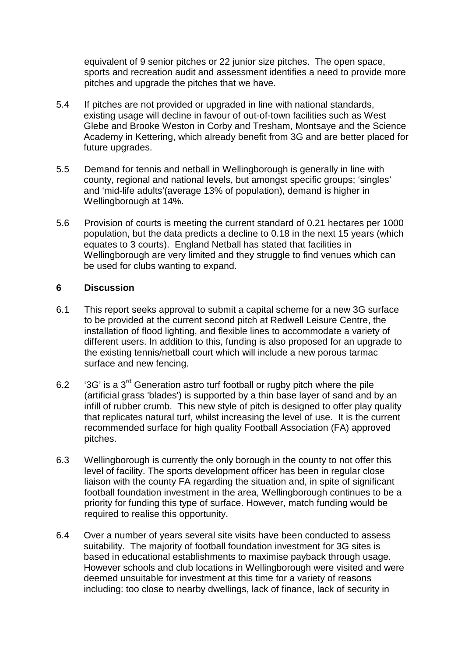equivalent of 9 senior pitches or 22 junior size pitches. The open space, sports and recreation audit and assessment identifies a need to provide more pitches and upgrade the pitches that we have.

- 5.4 If pitches are not provided or upgraded in line with national standards, existing usage will decline in favour of out-of-town facilities such as West Glebe and Brooke Weston in Corby and Tresham, Montsaye and the Science Academy in Kettering, which already benefit from 3G and are better placed for future upgrades.
- 5.5 Demand for tennis and netball in Wellingborough is generally in line with county, regional and national levels, but amongst specific groups; 'singles' and 'mid-life adults'(average 13% of population), demand is higher in Wellingborough at 14%.
- 5.6 Provision of courts is meeting the current standard of 0.21 hectares per 1000 population, but the data predicts a decline to 0.18 in the next 15 years (which equates to 3 courts). England Netball has stated that facilities in Wellingborough are very limited and they struggle to find venues which can be used for clubs wanting to expand.

# **6 Discussion**

- 6.1 This report seeks approval to submit a capital scheme for a new 3G surface to be provided at the current second pitch at Redwell Leisure Centre, the installation of flood lighting, and flexible lines to accommodate a variety of different users. In addition to this, funding is also proposed for an upgrade to the existing tennis/netball court which will include a new porous tarmac surface and new fencing.
- 6.2  $3G'$  is a 3<sup>rd</sup> Generation astro turf football or rugby pitch where the pile (artificial grass 'blades') is supported by a thin base layer of sand and by an infill of rubber crumb. This new style of pitch is designed to offer play quality that replicates natural turf, whilst increasing the level of use. It is the current recommended surface for high quality Football Association (FA) approved pitches.
- 6.3 Wellingborough is currently the only borough in the county to not offer this level of facility. The sports development officer has been in regular close liaison with the county FA regarding the situation and, in spite of significant football foundation investment in the area, Wellingborough continues to be a priority for funding this type of surface. However, match funding would be required to realise this opportunity.
- 6.4 Over a number of years several site visits have been conducted to assess suitability. The majority of football foundation investment for 3G sites is based in educational establishments to maximise payback through usage. However schools and club locations in Wellingborough were visited and were deemed unsuitable for investment at this time for a variety of reasons including: too close to nearby dwellings, lack of finance, lack of security in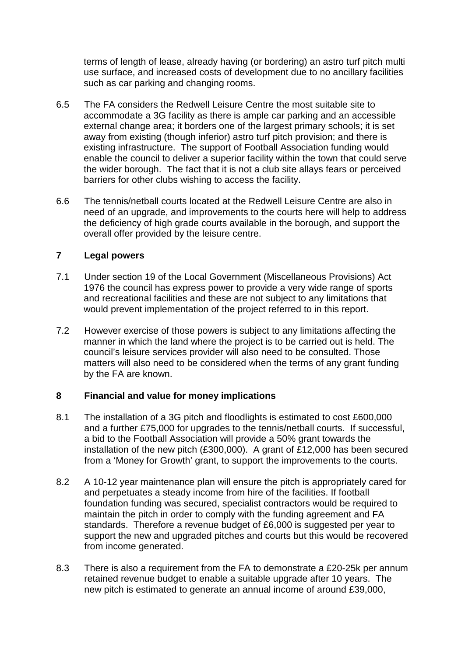terms of length of lease, already having (or bordering) an astro turf pitch multi use surface, and increased costs of development due to no ancillary facilities such as car parking and changing rooms.

- 6.5 The FA considers the Redwell Leisure Centre the most suitable site to accommodate a 3G facility as there is ample car parking and an accessible external change area; it borders one of the largest primary schools; it is set away from existing (though inferior) astro turf pitch provision; and there is existing infrastructure. The support of Football Association funding would enable the council to deliver a superior facility within the town that could serve the wider borough. The fact that it is not a club site allays fears or perceived barriers for other clubs wishing to access the facility.
- 6.6 The tennis/netball courts located at the Redwell Leisure Centre are also in need of an upgrade, and improvements to the courts here will help to address the deficiency of high grade courts available in the borough, and support the overall offer provided by the leisure centre.

# **7 Legal powers**

- 7.1 Under section 19 of the Local Government (Miscellaneous Provisions) Act 1976 the council has express power to provide a very wide range of sports and recreational facilities and these are not subject to any limitations that would prevent implementation of the project referred to in this report.
- 7.2 However exercise of those powers is subject to any limitations affecting the manner in which the land where the project is to be carried out is held. The council's leisure services provider will also need to be consulted. Those matters will also need to be considered when the terms of any grant funding by the FA are known.

# **8 Financial and value for money implications**

- 8.1 The installation of a 3G pitch and floodlights is estimated to cost £600,000 and a further £75,000 for upgrades to the tennis/netball courts. If successful, a bid to the Football Association will provide a 50% grant towards the installation of the new pitch (£300,000). A grant of £12,000 has been secured from a 'Money for Growth' grant, to support the improvements to the courts.
- 8.2 A 10-12 year maintenance plan will ensure the pitch is appropriately cared for and perpetuates a steady income from hire of the facilities. If football foundation funding was secured, specialist contractors would be required to maintain the pitch in order to comply with the funding agreement and FA standards. Therefore a revenue budget of £6,000 is suggested per year to support the new and upgraded pitches and courts but this would be recovered from income generated.
- 8.3 There is also a requirement from the FA to demonstrate a £20-25k per annum retained revenue budget to enable a suitable upgrade after 10 years. The new pitch is estimated to generate an annual income of around £39,000,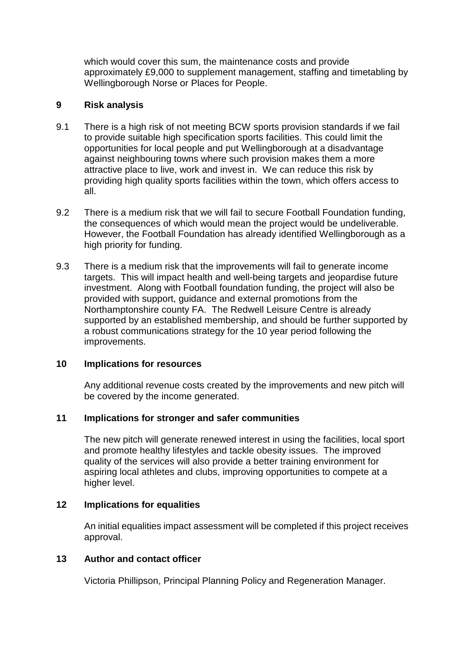which would cover this sum, the maintenance costs and provide approximately £9,000 to supplement management, staffing and timetabling by Wellingborough Norse or Places for People.

# **9 Risk analysis**

- 9.1 There is a high risk of not meeting BCW sports provision standards if we fail to provide suitable high specification sports facilities. This could limit the opportunities for local people and put Wellingborough at a disadvantage against neighbouring towns where such provision makes them a more attractive place to live, work and invest in. We can reduce this risk by providing high quality sports facilities within the town, which offers access to all.
- 9.2 There is a medium risk that we will fail to secure Football Foundation funding, the consequences of which would mean the project would be undeliverable. However, the Football Foundation has already identified Wellingborough as a high priority for funding.
- 9.3 There is a medium risk that the improvements will fail to generate income targets. This will impact health and well-being targets and jeopardise future investment. Along with Football foundation funding, the project will also be provided with support, guidance and external promotions from the Northamptonshire county FA. The Redwell Leisure Centre is already supported by an established membership, and should be further supported by a robust communications strategy for the 10 year period following the improvements.

# **10 Implications for resources**

Any additional revenue costs created by the improvements and new pitch will be covered by the income generated.

#### **11 Implications for stronger and safer communities**

The new pitch will generate renewed interest in using the facilities, local sport and promote healthy lifestyles and tackle obesity issues. The improved quality of the services will also provide a better training environment for aspiring local athletes and clubs, improving opportunities to compete at a higher level.

# **12 Implications for equalities**

An initial equalities impact assessment will be completed if this project receives approval.

#### **13 Author and contact officer**

Victoria Phillipson, Principal Planning Policy and Regeneration Manager.